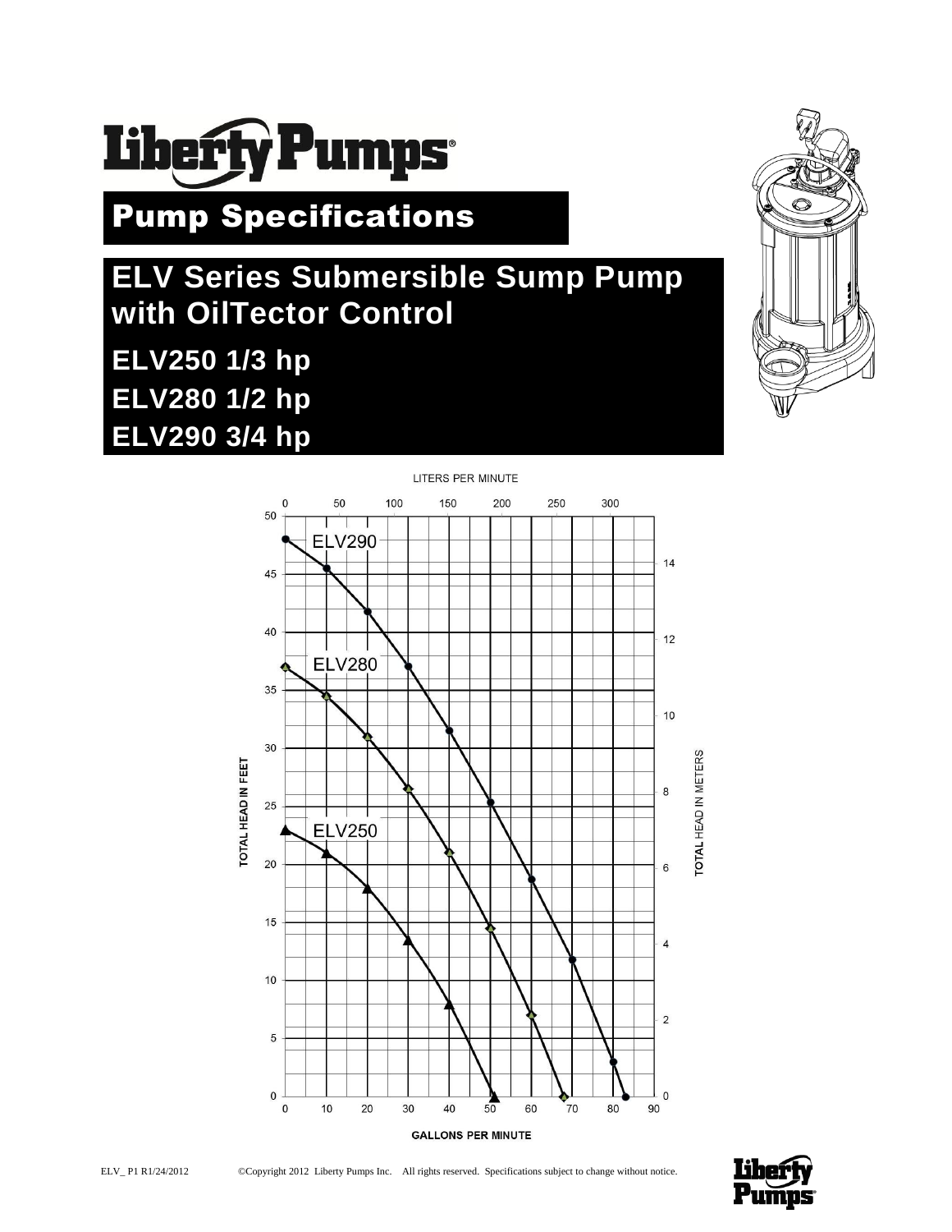

Pump Specifications

# **ELV Series Submersible Sump Pump with OilTector Control ELV250 1/3 hp ELV280 1/2 hp ELV290 3/4 hp**





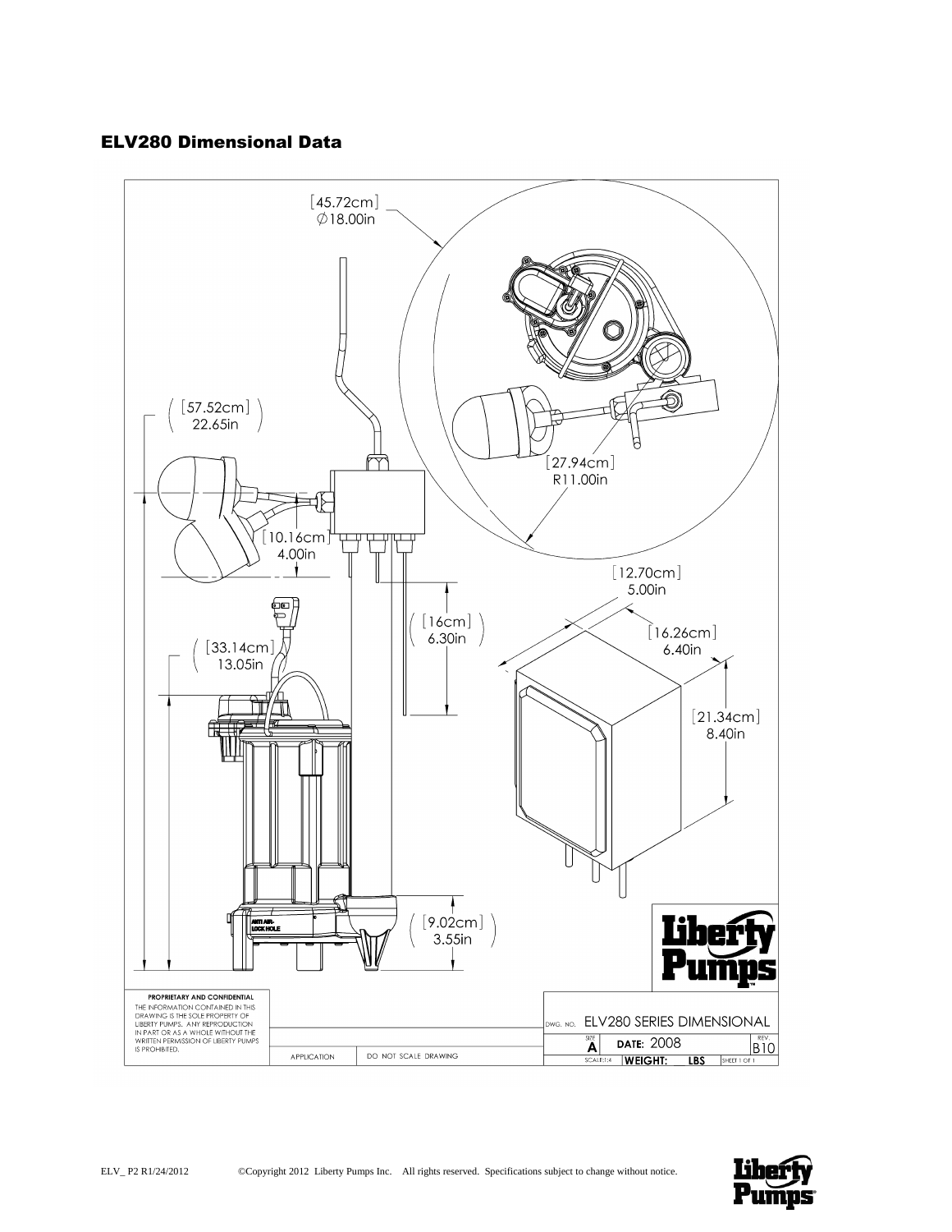# ELV280 Dimensional Data



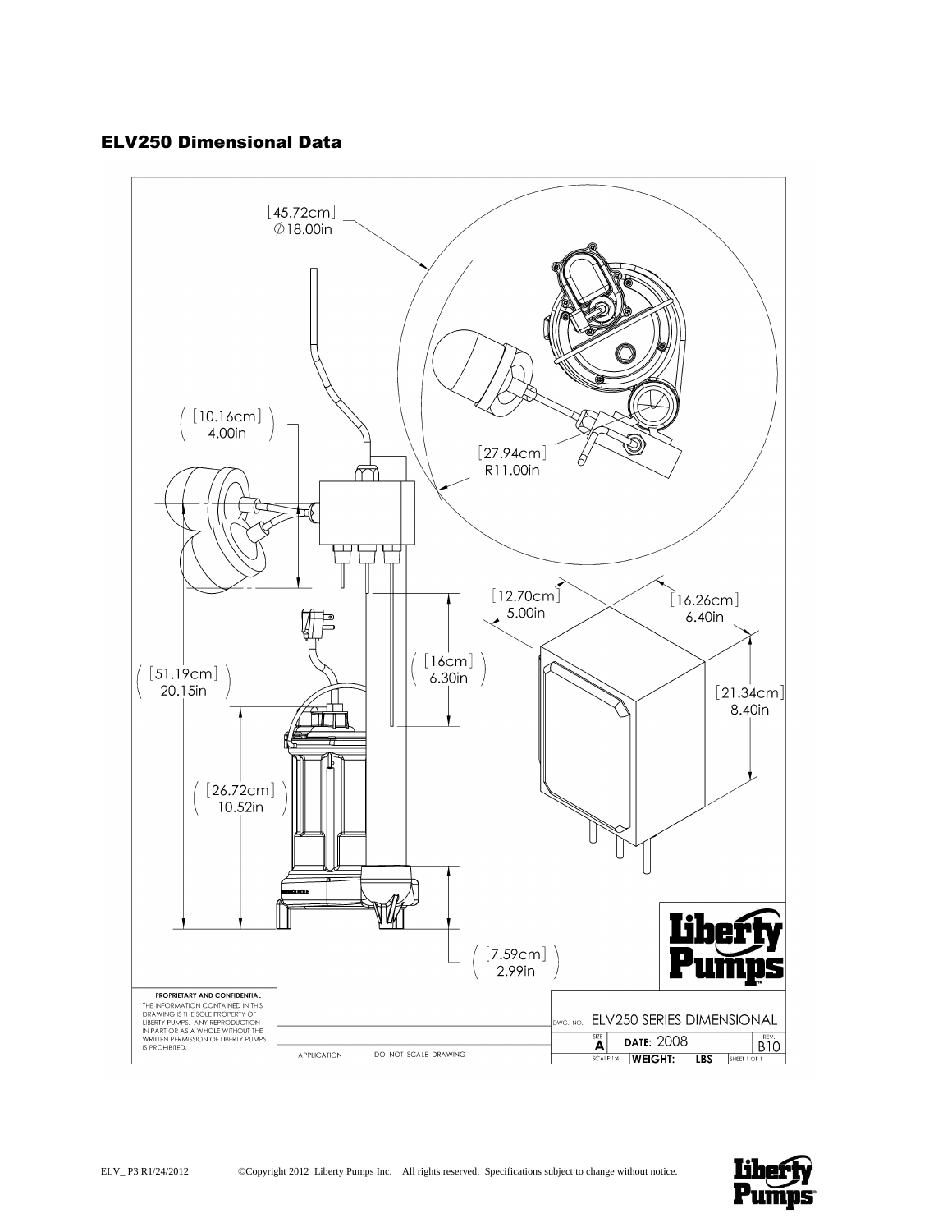# ELV250 Dimensional Data



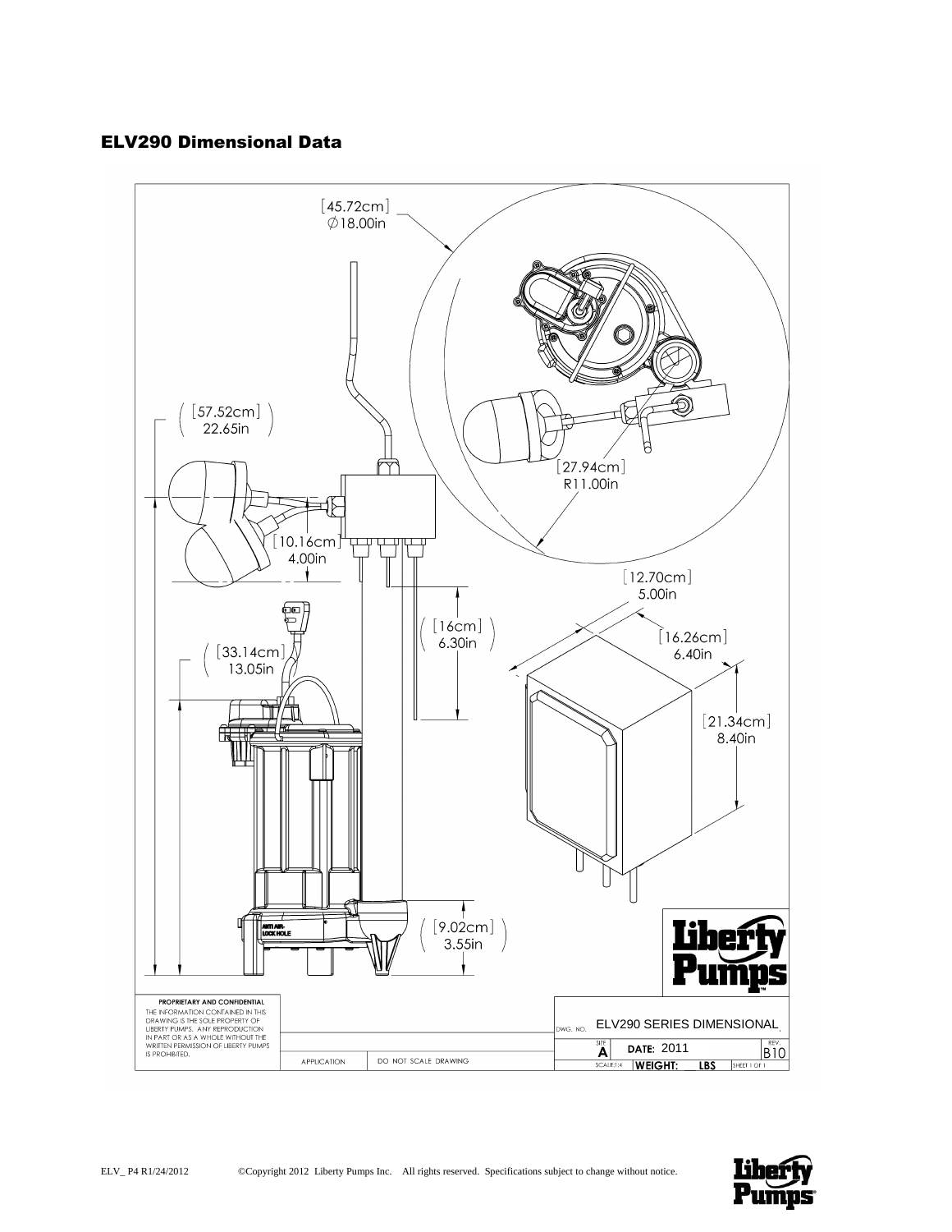# ELV290 Dimensional Data



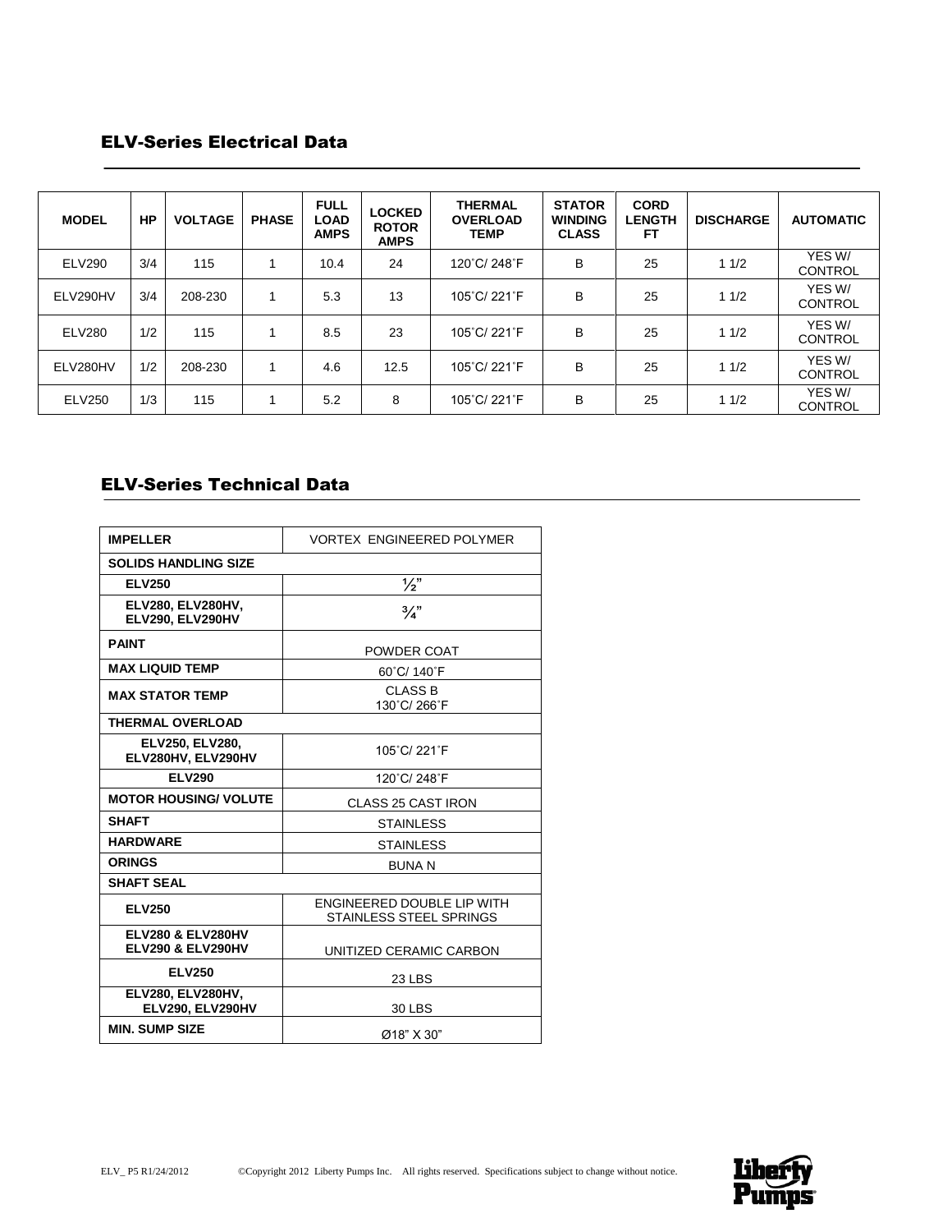# ELV-Series Electrical Data

| <b>MODEL</b>  | <b>HP</b> | <b>VOLTAGE</b> | <b>PHASE</b> | <b>FULL</b><br><b>LOAD</b><br><b>AMPS</b> | <b>LOCKED</b><br><b>ROTOR</b><br><b>AMPS</b> | <b>THERMAL</b><br><b>OVERLOAD</b><br><b>TEMP</b> | <b>STATOR</b><br><b>WINDING</b><br><b>CLASS</b> | <b>CORD</b><br><b>LENGTH</b><br>FΤ | <b>DISCHARGE</b> | <b>AUTOMATIC</b>         |
|---------------|-----------|----------------|--------------|-------------------------------------------|----------------------------------------------|--------------------------------------------------|-------------------------------------------------|------------------------------------|------------------|--------------------------|
| <b>ELV290</b> | 3/4       | 115            |              | 10.4                                      | 24                                           | 120°C/248°F                                      | B                                               | 25                                 | 11/2             | YES W/<br><b>CONTROL</b> |
| ELV290HV      | 3/4       | 208-230        |              | 5.3                                       | 13                                           | 105°C/ 221°F                                     | B                                               | 25                                 | 11/2             | YES W/<br><b>CONTROL</b> |
| <b>ELV280</b> | 1/2       | 115            |              | 8.5                                       | 23                                           | 105°C/221°F                                      | B                                               | 25                                 | 11/2             | YES W/<br><b>CONTROL</b> |
| ELV280HV      | 1/2       | 208-230        |              | 4.6                                       | 12.5                                         | 105°C/221°F                                      | B                                               | 25                                 | 11/2             | YES W/<br><b>CONTROL</b> |
| <b>ELV250</b> | 1/3       | 115            |              | 5.2                                       | 8                                            | 105°C/ 221°F                                     | B                                               | 25                                 | 11/2             | YES W/<br><b>CONTROL</b> |

# ELV-Series Technical Data

| <b>IMPELLER</b>                                              | <b>VORTEX ENGINEERED POLYMER</b>                      |  |  |  |  |  |
|--------------------------------------------------------------|-------------------------------------------------------|--|--|--|--|--|
| <b>SOLIDS HANDLING SIZE</b>                                  |                                                       |  |  |  |  |  |
| <b>ELV250</b>                                                | $\frac{1}{2}$                                         |  |  |  |  |  |
| <b>ELV280, ELV280HV,</b><br>ELV290, ELV290HV                 | $\frac{3}{4}$                                         |  |  |  |  |  |
| <b>PAINT</b>                                                 | POWDER COAT                                           |  |  |  |  |  |
| <b>MAX LIQUID TEMP</b>                                       | 60°C/ 140°F                                           |  |  |  |  |  |
| <b>MAX STATOR TEMP</b>                                       | <b>CLASS B</b><br>130°C/266°F                         |  |  |  |  |  |
| <b>THERMAL OVERLOAD</b>                                      |                                                       |  |  |  |  |  |
| <b>ELV250, ELV280,</b><br>ELV280HV, ELV290HV                 | 105°C/221°F                                           |  |  |  |  |  |
| <b>ELV290</b>                                                | 120°C/248°F                                           |  |  |  |  |  |
| <b>MOTOR HOUSING/ VOLUTE</b>                                 | CLASS 25 CAST IRON                                    |  |  |  |  |  |
| <b>SHAFT</b>                                                 | <b>STAINLESS</b>                                      |  |  |  |  |  |
| <b>HARDWARE</b>                                              | <b>STAINLESS</b>                                      |  |  |  |  |  |
| <b>ORINGS</b>                                                | <b>BUNAN</b>                                          |  |  |  |  |  |
| <b>SHAFT SEAL</b>                                            |                                                       |  |  |  |  |  |
| <b>ELV250</b>                                                | ENGINEERED DOUBLE LIP WITH<br>STAINLESS STEEL SPRINGS |  |  |  |  |  |
| <b>ELV280 &amp; ELV280HV</b><br><b>ELV290 &amp; ELV290HV</b> | UNITIZED CERAMIC CARBON                               |  |  |  |  |  |
| <b>ELV250</b>                                                | 23 LBS                                                |  |  |  |  |  |
| ELV280, ELV280HV,<br>ELV290, ELV290HV                        | 30 LBS                                                |  |  |  |  |  |
| <b>MIN. SUMP SIZE</b>                                        | Ø18" X 30"                                            |  |  |  |  |  |

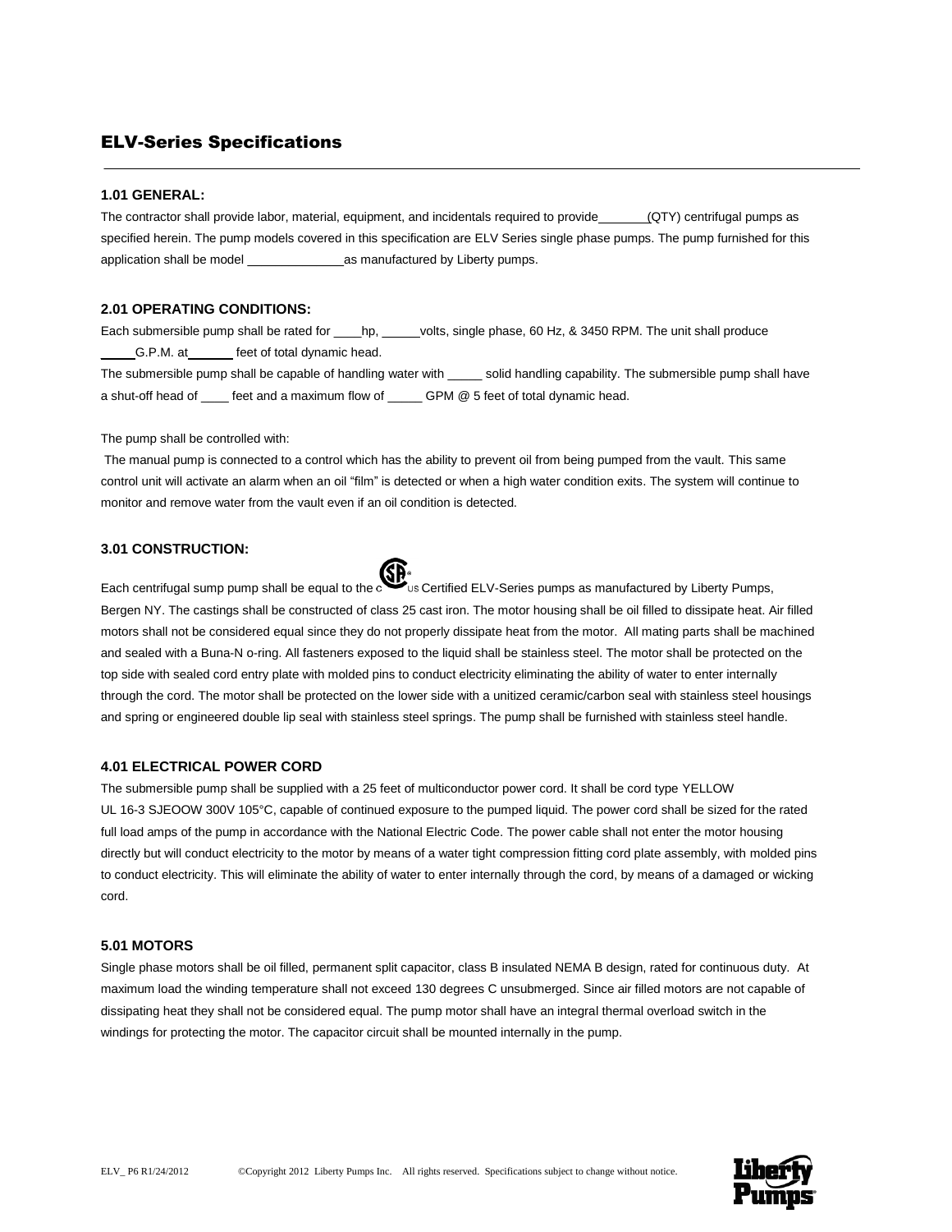# ELV-Series Specifications

## **1.01 GENERAL:**

The contractor shall provide labor, material, equipment, and incidentals required to provide (QTY) centrifugal pumps as specified herein. The pump models covered in this specification are ELV Series single phase pumps. The pump furnished for this application shall be model and  $\alpha$  as manufactured by Liberty pumps.

#### **2.01 OPERATING CONDITIONS:**

Each submersible pump shall be rated for \_\_\_\_hp, \_\_\_\_\_ volts, single phase, 60 Hz, & 3450 RPM. The unit shall produce \_\_\_\_\_G.P.M. at \_\_\_\_\_\_ feet of total dynamic head.

The submersible pump shall be capable of handling water with \_\_\_\_\_ solid handling capability. The submersible pump shall have a shut-off head of eet and a maximum flow of GPM @ 5 feet of total dynamic head.

#### The pump shall be controlled with:

The manual pump is connected to a control which has the ability to prevent oil from being pumped from the vault. This same control unit will activate an alarm when an oil "film" is detected or when a high water condition exits. The system will continue to monitor and remove water from the vault even if an oil condition is detected.

## **3.01 CONSTRUCTION:**



Each centrifugal sump pump shall be equal to the condinuity Certified ELV-Series pumps as manufactured by Liberty Pumps, Bergen NY. The castings shall be constructed of class 25 cast iron. The motor housing shall be oil filled to dissipate heat. Air filled motors shall not be considered equal since they do not properly dissipate heat from the motor. All mating parts shall be machined and sealed with a Buna-N o-ring. All fasteners exposed to the liquid shall be stainless steel. The motor shall be protected on the top side with sealed cord entry plate with molded pins to conduct electricity eliminating the ability of water to enter internally through the cord. The motor shall be protected on the lower side with a unitized ceramic/carbon seal with stainless steel housings and spring or engineered double lip seal with stainless steel springs. The pump shall be furnished with stainless steel handle.

#### **4.01 ELECTRICAL POWER CORD**

The submersible pump shall be supplied with a 25 feet of multiconductor power cord. It shall be cord type YELLOW UL 16-3 SJEOOW 300V 105°C, capable of continued exposure to the pumped liquid. The power cord shall be sized for the rated full load amps of the pump in accordance with the National Electric Code. The power cable shall not enter the motor housing directly but will conduct electricity to the motor by means of a water tight compression fitting cord plate assembly, with molded pins to conduct electricity. This will eliminate the ability of water to enter internally through the cord, by means of a damaged or wicking cord.

#### **5.01 MOTORS**

Single phase motors shall be oil filled, permanent split capacitor, class B insulated NEMA B design, rated for continuous duty. At maximum load the winding temperature shall not exceed 130 degrees C unsubmerged. Since air filled motors are not capable of dissipating heat they shall not be considered equal. The pump motor shall have an integral thermal overload switch in the windings for protecting the motor. The capacitor circuit shall be mounted internally in the pump.